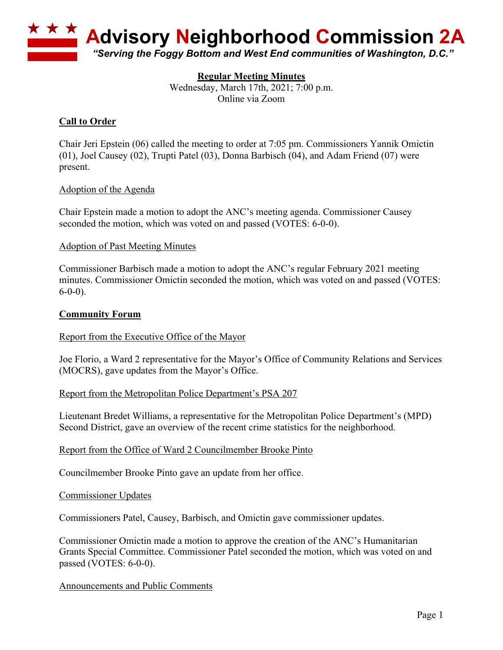

### **Regular Meeting Minutes**

Wednesday, March 17th, 2021; 7:00 p.m. Online via Zoom

## **Call to Order**

Chair Jeri Epstein (06) called the meeting to order at 7:05 pm. Commissioners Yannik Omictin (01), Joel Causey (02), Trupti Patel (03), Donna Barbisch (04), and Adam Friend (07) were present.

#### Adoption of the Agenda

Chair Epstein made a motion to adopt the ANC's meeting agenda. Commissioner Causey seconded the motion, which was voted on and passed (VOTES: 6-0-0).

### Adoption of Past Meeting Minutes

Commissioner Barbisch made a motion to adopt the ANC's regular February 2021 meeting minutes. Commissioner Omictin seconded the motion, which was voted on and passed (VOTES: 6-0-0).

### **Community Forum**

#### Report from the Executive Office of the Mayor

Joe Florio, a Ward 2 representative for the Mayor's Office of Community Relations and Services (MOCRS), gave updates from the Mayor's Office.

#### Report from the Metropolitan Police Department's PSA 207

Lieutenant Bredet Williams, a representative for the Metropolitan Police Department's (MPD) Second District, gave an overview of the recent crime statistics for the neighborhood.

#### Report from the Office of Ward 2 Councilmember Brooke Pinto

Councilmember Brooke Pinto gave an update from her office.

#### Commissioner Updates

Commissioners Patel, Causey, Barbisch, and Omictin gave commissioner updates.

Commissioner Omictin made a motion to approve the creation of the ANC's Humanitarian Grants Special Committee. Commissioner Patel seconded the motion, which was voted on and passed (VOTES: 6-0-0).

#### Announcements and Public Comments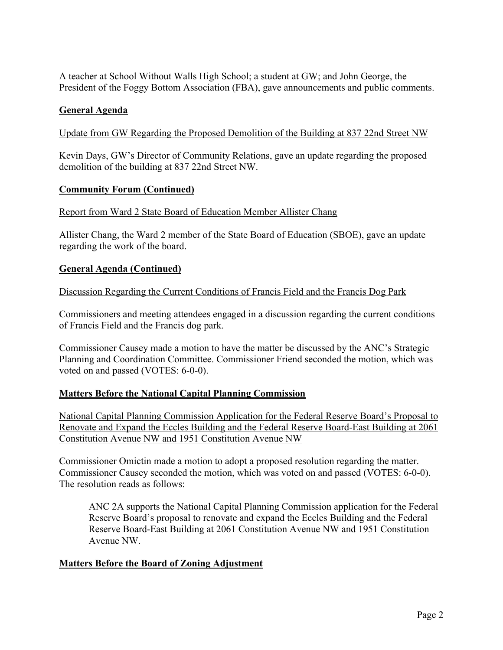A teacher at School Without Walls High School; a student at GW; and John George, the President of the Foggy Bottom Association (FBA), gave announcements and public comments.

## **General Agenda**

Update from GW Regarding the Proposed Demolition of the Building at 837 22nd Street NW

Kevin Days, GW's Director of Community Relations, gave an update regarding the proposed demolition of the building at 837 22nd Street NW.

## **Community Forum (Continued)**

Report from Ward 2 State Board of Education Member Allister Chang

Allister Chang, the Ward 2 member of the State Board of Education (SBOE), gave an update regarding the work of the board.

### **General Agenda (Continued)**

#### Discussion Regarding the Current Conditions of Francis Field and the Francis Dog Park

Commissioners and meeting attendees engaged in a discussion regarding the current conditions of Francis Field and the Francis dog park.

Commissioner Causey made a motion to have the matter be discussed by the ANC's Strategic Planning and Coordination Committee. Commissioner Friend seconded the motion, which was voted on and passed (VOTES: 6-0-0).

## **Matters Before the National Capital Planning Commission**

National Capital Planning Commission Application for the Federal Reserve Board's Proposal to Renovate and Expand the Eccles Building and the Federal Reserve Board-East Building at 2061 Constitution Avenue NW and 1951 Constitution Avenue NW

Commissioner Omictin made a motion to adopt a proposed resolution regarding the matter. Commissioner Causey seconded the motion, which was voted on and passed (VOTES: 6-0-0). The resolution reads as follows:

ANC 2A supports the National Capital Planning Commission application for the Federal Reserve Board's proposal to renovate and expand the Eccles Building and the Federal Reserve Board-East Building at 2061 Constitution Avenue NW and 1951 Constitution Avenue NW.

## **Matters Before the Board of Zoning Adjustment**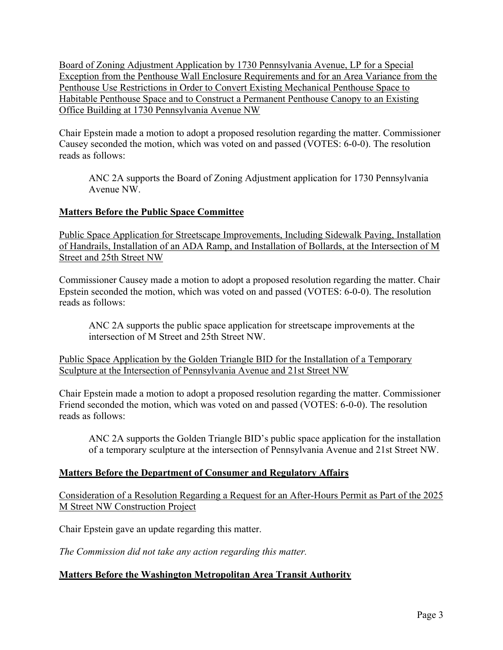Board of Zoning Adjustment Application by 1730 Pennsylvania Avenue, LP for a Special Exception from the Penthouse Wall Enclosure Requirements and for an Area Variance from the Penthouse Use Restrictions in Order to Convert Existing Mechanical Penthouse Space to Habitable Penthouse Space and to Construct a Permanent Penthouse Canopy to an Existing Office Building at 1730 Pennsylvania Avenue NW

Chair Epstein made a motion to adopt a proposed resolution regarding the matter. Commissioner Causey seconded the motion, which was voted on and passed (VOTES: 6-0-0). The resolution reads as follows:

ANC 2A supports the Board of Zoning Adjustment application for 1730 Pennsylvania Avenue NW.

# **Matters Before the Public Space Committee**

Public Space Application for Streetscape Improvements, Including Sidewalk Paving, Installation of Handrails, Installation of an ADA Ramp, and Installation of Bollards, at the Intersection of M Street and 25th Street NW

Commissioner Causey made a motion to adopt a proposed resolution regarding the matter. Chair Epstein seconded the motion, which was voted on and passed (VOTES: 6-0-0). The resolution reads as follows:

ANC 2A supports the public space application for streetscape improvements at the intersection of M Street and 25th Street NW.

Public Space Application by the Golden Triangle BID for the Installation of a Temporary Sculpture at the Intersection of Pennsylvania Avenue and 21st Street NW

Chair Epstein made a motion to adopt a proposed resolution regarding the matter. Commissioner Friend seconded the motion, which was voted on and passed (VOTES: 6-0-0). The resolution reads as follows:

ANC 2A supports the Golden Triangle BID's public space application for the installation of a temporary sculpture at the intersection of Pennsylvania Avenue and 21st Street NW.

## **Matters Before the Department of Consumer and Regulatory Affairs**

Consideration of a Resolution Regarding a Request for an After-Hours Permit as Part of the 2025 M Street NW Construction Project

Chair Epstein gave an update regarding this matter.

*The Commission did not take any action regarding this matter.*

## **Matters Before the Washington Metropolitan Area Transit Authority**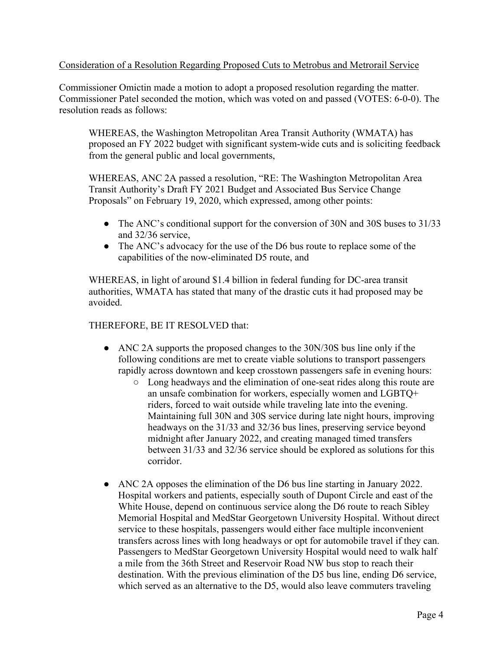### Consideration of a Resolution Regarding Proposed Cuts to Metrobus and Metrorail Service

Commissioner Omictin made a motion to adopt a proposed resolution regarding the matter. Commissioner Patel seconded the motion, which was voted on and passed (VOTES: 6-0-0). The resolution reads as follows:

WHEREAS, the Washington Metropolitan Area Transit Authority (WMATA) has proposed an FY 2022 budget with significant system-wide cuts and is soliciting feedback from the general public and local governments,

WHEREAS, ANC 2A passed a resolution, "RE: The Washington Metropolitan Area Transit Authority's Draft FY 2021 Budget and Associated Bus Service Change Proposals" on February 19, 2020, which expressed, among other points:

- The ANC's conditional support for the conversion of 30N and 30S buses to 31/33 and 32/36 service,
- The ANC's advocacy for the use of the D6 bus route to replace some of the capabilities of the now-eliminated D5 route, and

WHEREAS, in light of around \$1.4 billion in federal funding for DC-area transit authorities, WMATA has stated that many of the drastic cuts it had proposed may be avoided.

### THEREFORE, BE IT RESOLVED that:

- ANC 2A supports the proposed changes to the 30N/30S bus line only if the following conditions are met to create viable solutions to transport passengers rapidly across downtown and keep crosstown passengers safe in evening hours:
	- Long headways and the elimination of one-seat rides along this route are an unsafe combination for workers, especially women and LGBTQ+ riders, forced to wait outside while traveling late into the evening. Maintaining full 30N and 30S service during late night hours, improving headways on the 31/33 and 32/36 bus lines, preserving service beyond midnight after January 2022, and creating managed timed transfers between 31/33 and 32/36 service should be explored as solutions for this corridor.
- ANC 2A opposes the elimination of the D6 bus line starting in January 2022. Hospital workers and patients, especially south of Dupont Circle and east of the White House, depend on continuous service along the D6 route to reach Sibley Memorial Hospital and MedStar Georgetown University Hospital. Without direct service to these hospitals, passengers would either face multiple inconvenient transfers across lines with long headways or opt for automobile travel if they can. Passengers to MedStar Georgetown University Hospital would need to walk half a mile from the 36th Street and Reservoir Road NW bus stop to reach their destination. With the previous elimination of the D5 bus line, ending D6 service, which served as an alternative to the D5, would also leave commuters traveling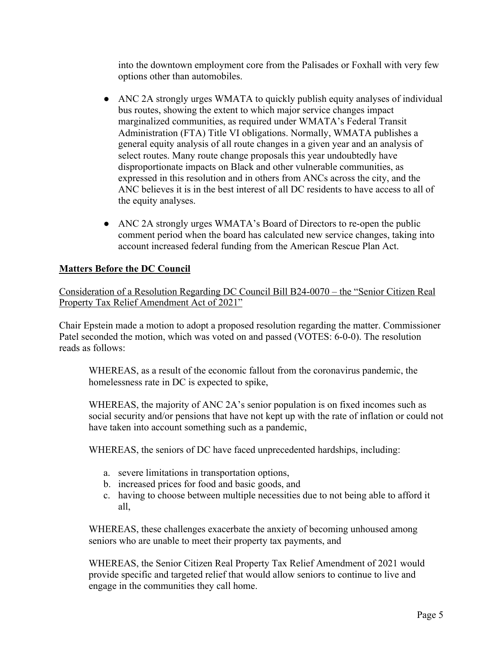into the downtown employment core from the Palisades or Foxhall with very few options other than automobiles.

- ANC 2A strongly urges WMATA to quickly publish equity analyses of individual bus routes, showing the extent to which major service changes impact marginalized communities, as required under WMATA's Federal Transit Administration (FTA) Title VI obligations. Normally, WMATA publishes a general equity analysis of all route changes in a given year and an analysis of select routes. Many route change proposals this year undoubtedly have disproportionate impacts on Black and other vulnerable communities, as expressed in this resolution and in others from ANCs across the city, and the ANC believes it is in the best interest of all DC residents to have access to all of the equity analyses.
- ANC 2A strongly urges WMATA's Board of Directors to re-open the public comment period when the board has calculated new service changes, taking into account increased federal funding from the American Rescue Plan Act.

## **Matters Before the DC Council**

Consideration of a Resolution Regarding DC Council Bill B24-0070 – the "Senior Citizen Real Property Tax Relief Amendment Act of 2021"

Chair Epstein made a motion to adopt a proposed resolution regarding the matter. Commissioner Patel seconded the motion, which was voted on and passed (VOTES: 6-0-0). The resolution reads as follows:

WHEREAS, as a result of the economic fallout from the coronavirus pandemic, the homelessness rate in DC is expected to spike,

WHEREAS, the majority of ANC 2A's senior population is on fixed incomes such as social security and/or pensions that have not kept up with the rate of inflation or could not have taken into account something such as a pandemic,

WHEREAS, the seniors of DC have faced unprecedented hardships, including:

- a. severe limitations in transportation options,
- b. increased prices for food and basic goods, and
- c. having to choose between multiple necessities due to not being able to afford it all,

WHEREAS, these challenges exacerbate the anxiety of becoming unhoused among seniors who are unable to meet their property tax payments, and

WHEREAS, the Senior Citizen Real Property Tax Relief Amendment of 2021 would provide specific and targeted relief that would allow seniors to continue to live and engage in the communities they call home.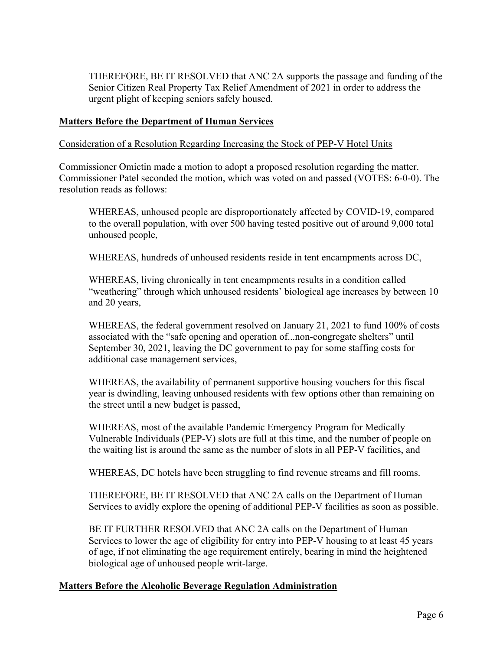THEREFORE, BE IT RESOLVED that ANC 2A supports the passage and funding of the Senior Citizen Real Property Tax Relief Amendment of 2021 in order to address the urgent plight of keeping seniors safely housed.

### **Matters Before the Department of Human Services**

### Consideration of a Resolution Regarding Increasing the Stock of PEP-V Hotel Units

Commissioner Omictin made a motion to adopt a proposed resolution regarding the matter. Commissioner Patel seconded the motion, which was voted on and passed (VOTES: 6-0-0). The resolution reads as follows:

WHEREAS, unhoused people are disproportionately affected by COVID-19, compared to the overall population, with over 500 having tested positive out of around 9,000 total unhoused people,

WHEREAS, hundreds of unhoused residents reside in tent encampments across DC,

WHEREAS, living chronically in tent encampments results in a condition called "weathering" through which unhoused residents' biological age increases by between 10 and 20 years,

WHEREAS, the federal government resolved on January 21, 2021 to fund 100% of costs associated with the "safe opening and operation of...non-congregate shelters" until September 30, 2021, leaving the DC government to pay for some staffing costs for additional case management services,

WHEREAS, the availability of permanent supportive housing vouchers for this fiscal year is dwindling, leaving unhoused residents with few options other than remaining on the street until a new budget is passed,

WHEREAS, most of the available Pandemic Emergency Program for Medically Vulnerable Individuals (PEP-V) slots are full at this time, and the number of people on the waiting list is around the same as the number of slots in all PEP-V facilities, and

WHEREAS, DC hotels have been struggling to find revenue streams and fill rooms.

THEREFORE, BE IT RESOLVED that ANC 2A calls on the Department of Human Services to avidly explore the opening of additional PEP-V facilities as soon as possible.

BE IT FURTHER RESOLVED that ANC 2A calls on the Department of Human Services to lower the age of eligibility for entry into PEP-V housing to at least 45 years of age, if not eliminating the age requirement entirely, bearing in mind the heightened biological age of unhoused people writ-large.

#### **Matters Before the Alcoholic Beverage Regulation Administration**